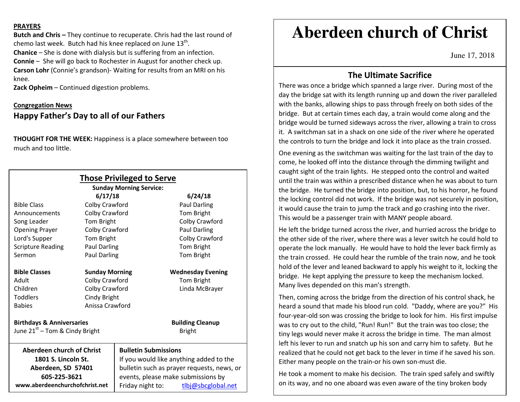#### **PRAYERS**

**Butch and Chris –** They continue to recuperate. Chris had the last round of chemo last week. Butch had his knee replaced on June  $13<sup>th</sup>$ . **Chanice** – She is done with dialysis but is suffering from an infection. **Connie** – She will go back to Rochester in August for another check up. **Carson Lohr** (Connie's grandson)- Waiting for results from an MRI on his knee.

**Zack Opheim** – Continued digestion problems.

### **Congregation NewsHappy Father's Day to all of our Fathers**

**THOUGHT FOR THE WEEK:** Happiness is a place somewhere between too much and too little.

|                                            |                       | <b>Those Privileged to Serve</b><br><b>Sunday Morning Service:</b> |                          |
|--------------------------------------------|-----------------------|--------------------------------------------------------------------|--------------------------|
|                                            | 6/17/18               |                                                                    | 6/24/18                  |
| <b>Bible Class</b>                         | Colby Crawford        |                                                                    | Paul Darling             |
| Announcements                              | Colby Crawford        |                                                                    | Tom Bright               |
| Song Leader                                | Tom Bright            |                                                                    | Colby Crawford           |
| <b>Opening Prayer</b>                      | Colby Crawford        |                                                                    | <b>Paul Darling</b>      |
| Lord's Supper                              | Tom Bright            |                                                                    | Colby Crawford           |
| <b>Scripture Reading</b>                   | <b>Paul Darling</b>   |                                                                    | Tom Bright               |
| Sermon                                     | Paul Darling          |                                                                    | Tom Bright               |
| <b>Bible Classes</b>                       | <b>Sunday Morning</b> |                                                                    | <b>Wednesday Evening</b> |
| Adult                                      | Colby Crawford        |                                                                    | Tom Bright               |
| Children                                   | Colby Crawford        |                                                                    | Linda McBrayer           |
| <b>Toddlers</b>                            | Cindy Bright          |                                                                    |                          |
| <b>Babies</b>                              | Anissa Crawford       |                                                                    |                          |
| <b>Birthdays &amp; Anniversaries</b>       |                       |                                                                    | <b>Building Cleanup</b>  |
| June 21 <sup>st</sup> – Tom & Cindy Bright |                       |                                                                    | <b>Bright</b>            |
| Aberdeen church of Christ                  |                       | <b>Bulletin Submissions</b>                                        |                          |
| 1801 S. Lincoln St.                        |                       | If you would like anything added to the                            |                          |
| Aberdeen, SD 57401                         |                       | bulletin such as prayer requests, news, or                         |                          |
| 605-225-3621                               |                       | events, please make submissions by                                 |                          |
| www.aberdeenchurchofchrist.net             |                       | Friday night to:                                                   | tlbj@sbcglobal.net       |

# **Aberdeen church of Christ**

June 17, 2018

## **The Ultimate Sacrifice**

There was once a bridge which spanned a large river. During most of the day the bridge sat with its length running up and down the river paralleled with the banks, allowing ships to pass through freely on both sides of the bridge. But at certain times each day, a train would come along and the bridge would be turned sideways across the river, allowing a train to cross it. A switchman sat in a shack on one side of the river where he operated the controls to turn the bridge and lock it into place as the train crossed.

One evening as the switchman was waiting for the last train of the day to come, he looked off into the distance through the dimming twilight and caught sight of the train lights. He stepped onto the control and waited until the train was within a prescribed distance when he was about to turn the bridge. He turned the bridge into position, but, to his horror, he found the locking control did not work. If the bridge was not securely in position, it would cause the train to jump the track and go crashing into the river. This would be a passenger train with MANY people aboard.

He left the bridge turned across the river, and hurried across the bridge to the other side of the river, where there was a lever switch he could hold to operate the lock manually. He would have to hold the lever back firmly as the train crossed. He could hear the rumble of the train now, and he took hold of the lever and leaned backward to apply his weight to it, locking the bridge. He kept applying the pressure to keep the mechanism locked. Many lives depended on this man's strength.

Then, coming across the bridge from the direction of his control shack, he heard a sound that made his blood run cold. "Daddy, where are you?" His four-year-old son was crossing the bridge to look for him. His first impulse was to cry out to the child, "Run! Run!" But the train was too close; the tiny legs would never make it across the bridge in time. The man almost left his lever to run and snatch up his son and carry him to safety. But he realized that he could not get back to the lever in time if he saved his son. Either many people on the train-or his own son-must die.

He took a moment to make his decision. The train sped safely and swiftly on its way, and no one aboard was even aware of the tiny broken body